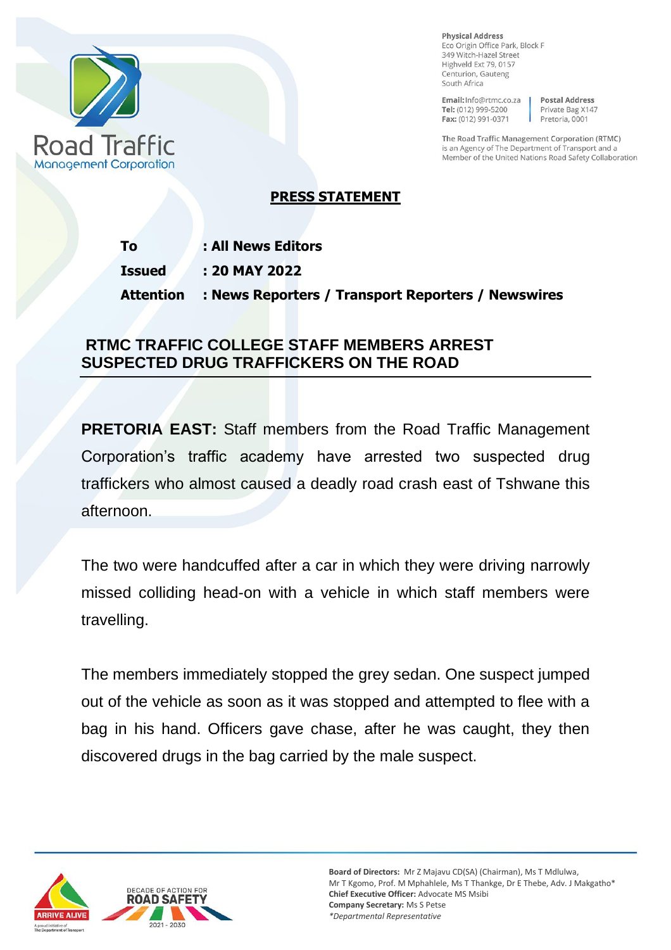

**Physical Address** Eco Origin Office Park, Block F 349 Witch-Hazel Street Highveld Ext 79, 0157 Centurion, Gauteng South Africa

Email: Info@rtmc.co.za Tel: (012) 999-5200 Fax: (012) 991-0371

**Postal Address** Private Bag X147 Pretoria, 0001

The Road Traffic Management Corporation (RTMC) is an Agency of The Department of Transport and a Member of the United Nations Road Safety Collaboration

## **PRESS STATEMENT**

| <b>To</b>        | : All News Editors                                 |
|------------------|----------------------------------------------------|
| <b>Issued</b>    | : 20 MAY 2022                                      |
| <b>Attention</b> | : News Reporters / Transport Reporters / Newswires |

## **RTMC TRAFFIC COLLEGE STAFF MEMBERS ARREST SUSPECTED DRUG TRAFFICKERS ON THE ROAD**

**PRETORIA EAST:** Staff members from the Road Traffic Management Corporation's traffic academy have arrested two suspected drug traffickers who almost caused a deadly road crash east of Tshwane this afternoon.

The two were handcuffed after a car in which they were driving narrowly missed colliding head-on with a vehicle in which staff members were travelling.

The members immediately stopped the grey sedan. One suspect jumped out of the vehicle as soon as it was stopped and attempted to flee with a bag in his hand. Officers gave chase, after he was caught, they then discovered drugs in the bag carried by the male suspect.